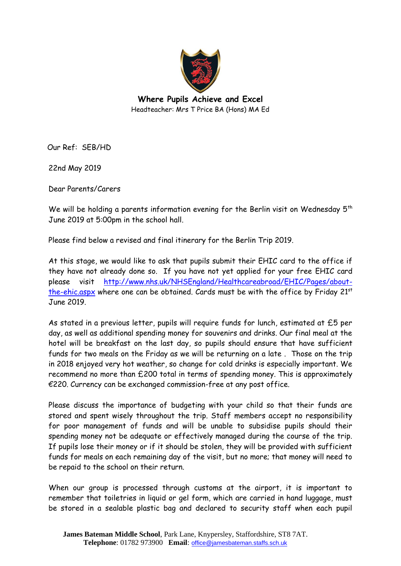

**Where Pupils Achieve and Excel** Headteacher: Mrs T Price BA (Hons) MA Ed

Our Ref: SEB/HD

22nd May 2019

Dear Parents/Carers

We will be holding a parents information evening for the Berlin visit on Wednesday  $5<sup>th</sup>$ June 2019 at 5:00pm in the school hall.

Please find below a revised and final itinerary for the Berlin Trip 2019.

At this stage, we would like to ask that pupils submit their EHIC card to the office if they have not already done so. If you have not yet applied for your free EHIC card please visit [http://www.nhs.uk/NHSEngland/Healthcareabroad/EHIC/Pages/about](http://www.nhs.uk/NHSEngland/Healthcareabroad/EHIC/Pages/about-the-ehic.aspx)[the-ehic.aspx](http://www.nhs.uk/NHSEngland/Healthcareabroad/EHIC/Pages/about-the-ehic.aspx) where one can be obtained. Cards must be with the office by Friday 21st June 2019.

As stated in a previous letter, pupils will require funds for lunch, estimated at £5 per day, as well as additional spending money for souvenirs and drinks. Our final meal at the hotel will be breakfast on the last day, so pupils should ensure that have sufficient funds for two meals on the Friday as we will be returning on a late . Those on the trip in 2018 enjoyed very hot weather, so change for cold drinks is especially important. We recommend no more than £200 total in terms of spending money. This is approximately €220. Currency can be exchanged commission-free at any post office.

Please discuss the importance of budgeting with your child so that their funds are stored and spent wisely throughout the trip. Staff members accept no responsibility for poor management of funds and will be unable to subsidise pupils should their spending money not be adequate or effectively managed during the course of the trip. If pupils lose their money or if it should be stolen, they will be provided with sufficient funds for meals on each remaining day of the visit, but no more; that money will need to be repaid to the school on their return.

When our group is processed through customs at the airport, it is important to remember that toiletries in liquid or gel form, which are carried in hand luggage, must be stored in a sealable plastic bag and declared to security staff when each pupil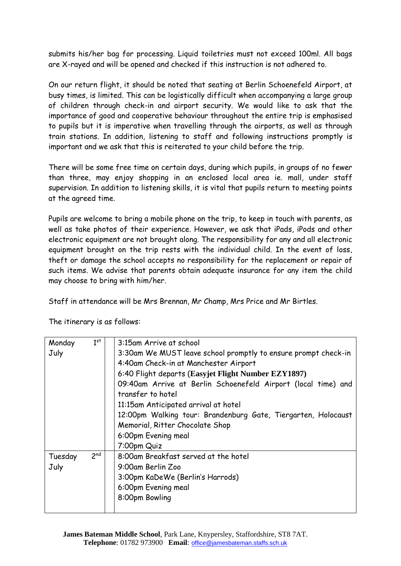submits his/her bag for processing. Liquid toiletries must not exceed 100ml. All bags are X-rayed and will be opened and checked if this instruction is not adhered to.

On our return flight, it should be noted that seating at Berlin Schoenefeld Airport, at busy times, is limited. This can be logistically difficult when accompanying a large group of children through check-in and airport security. We would like to ask that the importance of good and cooperative behaviour throughout the entire trip is emphasised to pupils but it is imperative when travelling through the airports, as well as through train stations. In addition, listening to staff and following instructions promptly is important and we ask that this is reiterated to your child before the trip.

There will be some free time on certain days, during which pupils, in groups of no fewer than three, may enjoy shopping in an enclosed local area ie. mall, under staff supervision. In addition to listening skills, it is vital that pupils return to meeting points at the agreed time.

Pupils are welcome to bring a mobile phone on the trip, to keep in touch with parents, as well as take photos of their experience. However, we ask that iPads, iPods and other electronic equipment are not brought along. The responsibility for any and all electronic equipment brought on the trip rests with the individual child. In the event of loss, theft or damage the school accepts no responsibility for the replacement or repair of such items. We advise that parents obtain adequate insurance for any item the child may choose to bring with him/her.

Staff in attendance will be Mrs Brennan, Mr Champ, Mrs Price and Mr Birtles.

| Monday  | $1^{st}$        | 3:15am Arrive at school                                        |
|---------|-----------------|----------------------------------------------------------------|
| July    |                 | 3:30am We MUST leave school promptly to ensure prompt check-in |
|         |                 | 4:40am Check-in at Manchester Airport                          |
|         |                 | 6:40 Flight departs (Easyjet Flight Number EZY1897)            |
|         |                 | 09:40am Arrive at Berlin Schoenefeld Airport (local time) and  |
|         |                 | transfer to hotel                                              |
|         |                 | 11:15am Anticipated arrival at hotel                           |
|         |                 | 12:00pm Walking tour: Brandenburg Gate, Tiergarten, Holocaust  |
|         |                 | Memorial, Ritter Chocolate Shop                                |
|         |                 | 6:00pm Evening meal                                            |
|         |                 | 7:00pm Quiz                                                    |
| Tuesday | 2 <sup>nd</sup> | 8:00am Breakfast served at the hotel                           |
| July    |                 | 9:00am Berlin Zoo                                              |
|         |                 | 3:00pm KaDeWe (Berlin's Harrods)                               |
|         |                 | 6:00pm Evening meal                                            |
|         |                 | 8:00pm Bowling                                                 |
|         |                 |                                                                |

The itinerary is as follows: